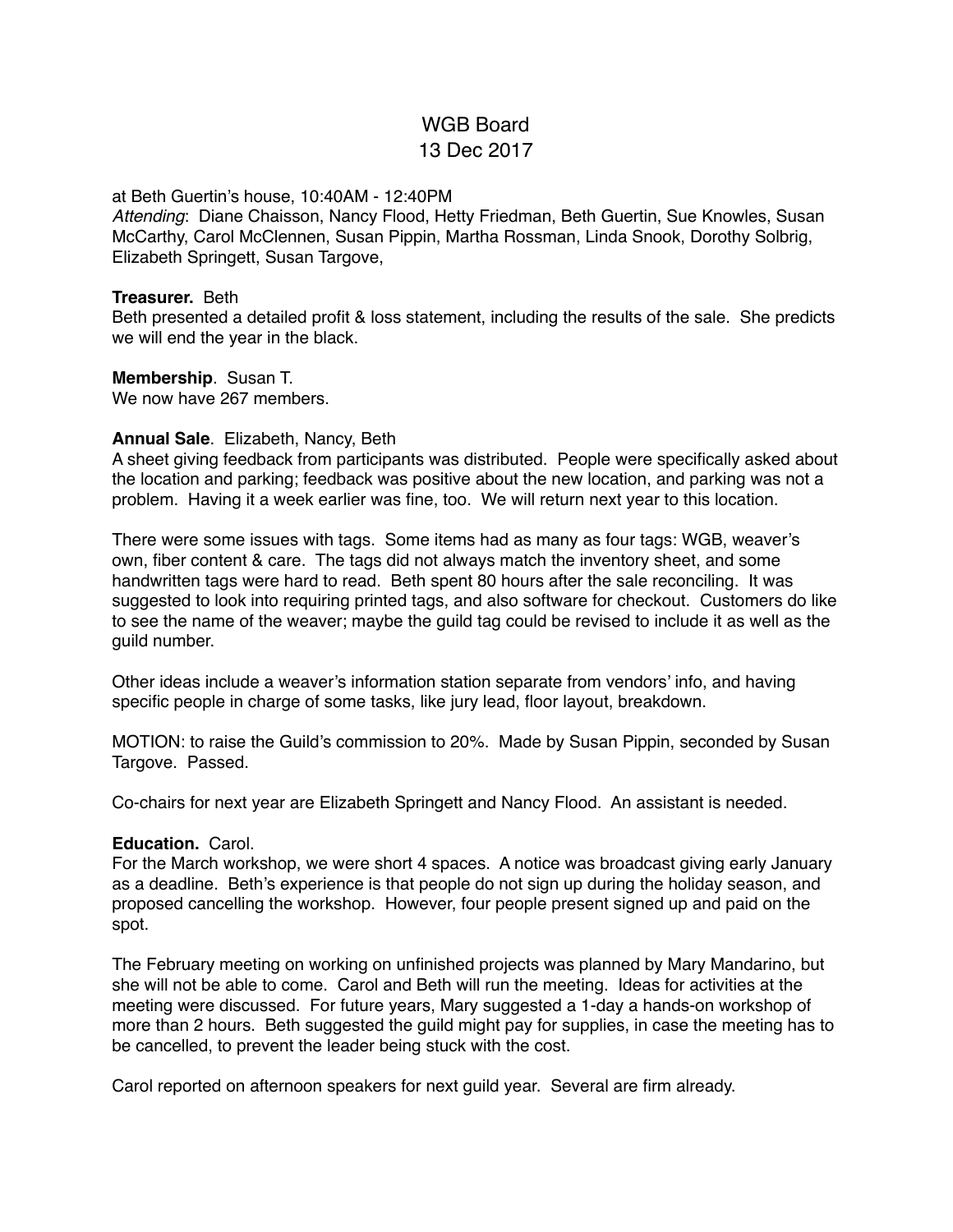# WGB Board 13 Dec 2017

#### at Beth Guertin's house, 10:40AM - 12:40PM

*Attending*: Diane Chaisson, Nancy Flood, Hetty Friedman, Beth Guertin, Sue Knowles, Susan McCarthy, Carol McClennen, Susan Pippin, Martha Rossman, Linda Snook, Dorothy Solbrig, Elizabeth Springett, Susan Targove,

#### **Treasurer.** Beth

Beth presented a detailed profit & loss statement, including the results of the sale. She predicts we will end the year in the black.

#### **Membership**. Susan T.

We now have 267 members.

## **Annual Sale**. Elizabeth, Nancy, Beth

A sheet giving feedback from participants was distributed. People were specifically asked about the location and parking; feedback was positive about the new location, and parking was not a problem. Having it a week earlier was fine, too. We will return next year to this location.

There were some issues with tags. Some items had as many as four tags: WGB, weaver's own, fiber content & care. The tags did not always match the inventory sheet, and some handwritten tags were hard to read. Beth spent 80 hours after the sale reconciling. It was suggested to look into requiring printed tags, and also software for checkout. Customers do like to see the name of the weaver; maybe the guild tag could be revised to include it as well as the guild number.

Other ideas include a weaver's information station separate from vendors' info, and having specific people in charge of some tasks, like jury lead, floor layout, breakdown.

MOTION: to raise the Guild's commission to 20%. Made by Susan Pippin, seconded by Susan Targove. Passed.

Co-chairs for next year are Elizabeth Springett and Nancy Flood. An assistant is needed.

## **Education.** Carol.

For the March workshop, we were short 4 spaces. A notice was broadcast giving early January as a deadline. Beth's experience is that people do not sign up during the holiday season, and proposed cancelling the workshop. However, four people present signed up and paid on the spot.

The February meeting on working on unfinished projects was planned by Mary Mandarino, but she will not be able to come. Carol and Beth will run the meeting. Ideas for activities at the meeting were discussed. For future years, Mary suggested a 1-day a hands-on workshop of more than 2 hours. Beth suggested the guild might pay for supplies, in case the meeting has to be cancelled, to prevent the leader being stuck with the cost.

Carol reported on afternoon speakers for next guild year. Several are firm already.